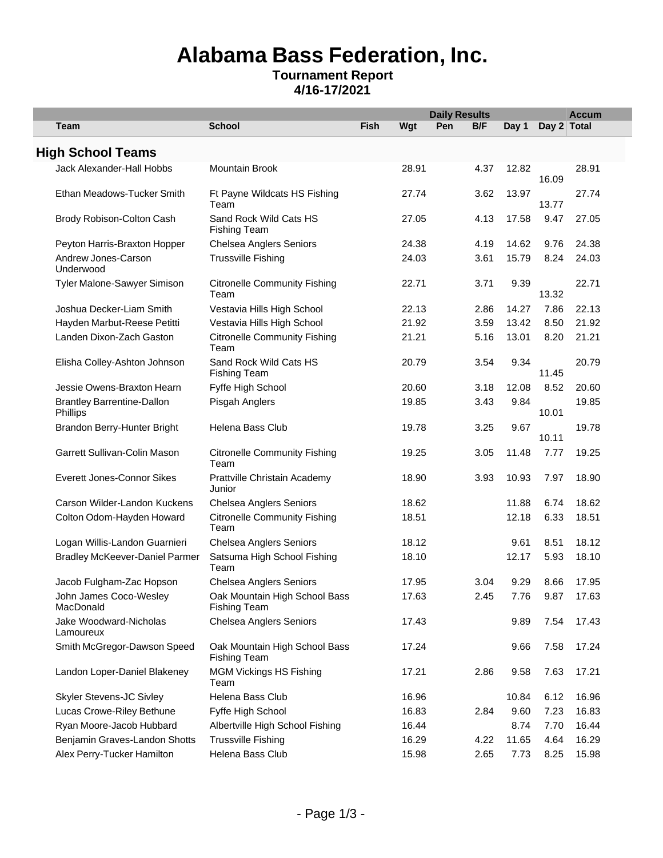## **Alabama Bass Federation, Inc. Tournament Report**

## **4/16-17/2021**

|                                               |                                                      |             |       | <b>Daily Results</b> |      |       |             | <b>Accum</b> |
|-----------------------------------------------|------------------------------------------------------|-------------|-------|----------------------|------|-------|-------------|--------------|
| Team                                          | <b>School</b>                                        | <b>Fish</b> | Wgt   | Pen                  | B/F  | Day 1 | Day 2 Total |              |
|                                               |                                                      |             |       |                      |      |       |             |              |
| <b>High School Teams</b>                      |                                                      |             |       |                      |      |       |             |              |
| Jack Alexander-Hall Hobbs                     | <b>Mountain Brook</b>                                |             | 28.91 |                      | 4.37 | 12.82 | 16.09       | 28.91        |
| Ethan Meadows-Tucker Smith                    | Ft Payne Wildcats HS Fishing<br>Team                 |             | 27.74 |                      | 3.62 | 13.97 | 13.77       | 27.74        |
| Brody Robison-Colton Cash                     | Sand Rock Wild Cats HS<br><b>Fishing Team</b>        |             | 27.05 |                      | 4.13 | 17.58 | 9.47        | 27.05        |
| Peyton Harris-Braxton Hopper                  | <b>Chelsea Anglers Seniors</b>                       |             | 24.38 |                      | 4.19 | 14.62 | 9.76        | 24.38        |
| Andrew Jones-Carson<br>Underwood              | <b>Trussville Fishing</b>                            |             | 24.03 |                      | 3.61 | 15.79 | 8.24        | 24.03        |
| Tyler Malone-Sawyer Simison                   | <b>Citronelle Community Fishing</b><br>Team          |             | 22.71 |                      | 3.71 | 9.39  | 13.32       | 22.71        |
| Joshua Decker-Liam Smith                      | Vestavia Hills High School                           |             | 22.13 |                      | 2.86 | 14.27 | 7.86        | 22.13        |
| Hayden Marbut-Reese Petitti                   | Vestavia Hills High School                           |             | 21.92 |                      | 3.59 | 13.42 | 8.50        | 21.92        |
| Landen Dixon-Zach Gaston                      | <b>Citronelle Community Fishing</b><br>Team          |             | 21.21 |                      | 5.16 | 13.01 | 8.20        | 21.21        |
| Elisha Colley-Ashton Johnson                  | Sand Rock Wild Cats HS<br><b>Fishing Team</b>        |             | 20.79 |                      | 3.54 | 9.34  | 11.45       | 20.79        |
| Jessie Owens-Braxton Hearn                    | Fyffe High School                                    |             | 20.60 |                      | 3.18 | 12.08 | 8.52        | 20.60        |
| <b>Brantley Barrentine-Dallon</b><br>Phillips | Pisgah Anglers                                       |             | 19.85 |                      | 3.43 | 9.84  | 10.01       | 19.85        |
| Brandon Berry-Hunter Bright                   | Helena Bass Club                                     |             | 19.78 |                      | 3.25 | 9.67  | 10.11       | 19.78        |
| Garrett Sullivan-Colin Mason                  | <b>Citronelle Community Fishing</b><br>Team          |             | 19.25 |                      | 3.05 | 11.48 | 7.77        | 19.25        |
| Everett Jones-Connor Sikes                    | Prattville Christain Academy<br>Junior               |             | 18.90 |                      | 3.93 | 10.93 | 7.97        | 18.90        |
| Carson Wilder-Landon Kuckens                  | <b>Chelsea Anglers Seniors</b>                       |             | 18.62 |                      |      | 11.88 | 6.74        | 18.62        |
| Colton Odom-Hayden Howard                     | <b>Citronelle Community Fishing</b><br>Team          |             | 18.51 |                      |      | 12.18 | 6.33        | 18.51        |
| Logan Willis-Landon Guarnieri                 | <b>Chelsea Anglers Seniors</b>                       |             | 18.12 |                      |      | 9.61  | 8.51        | 18.12        |
| <b>Bradley McKeever-Daniel Parmer</b>         | Satsuma High School Fishing<br>Team                  |             | 18.10 |                      |      | 12.17 | 5.93        | 18.10        |
| Jacob Fulgham-Zac Hopson                      | <b>Chelsea Anglers Seniors</b>                       |             | 17.95 |                      | 3.04 | 9.29  | 8.66        | 17.95        |
| John James Coco-Wesley<br>MacDonald           | Oak Mountain High School Bass<br><b>Fishing Team</b> |             | 17.63 |                      | 2.45 | 7.76  | 9.87        | 17.63        |
| Jake Woodward-Nicholas<br>Lamoureux           | <b>Chelsea Anglers Seniors</b>                       |             | 17.43 |                      |      | 9.89  | 7.54        | 17.43        |
| Smith McGregor-Dawson Speed                   | Oak Mountain High School Bass<br><b>Fishing Team</b> |             | 17.24 |                      |      | 9.66  | 7.58        | 17.24        |
| Landon Loper-Daniel Blakeney                  | <b>MGM Vickings HS Fishing</b><br>Team               |             | 17.21 |                      | 2.86 | 9.58  | 7.63        | 17.21        |
| Skyler Stevens-JC Sivley                      | Helena Bass Club                                     |             | 16.96 |                      |      | 10.84 | 6.12        | 16.96        |
| Lucas Crowe-Riley Bethune                     | Fyffe High School                                    |             | 16.83 |                      | 2.84 | 9.60  | 7.23        | 16.83        |
| Ryan Moore-Jacob Hubbard                      | Albertville High School Fishing                      |             | 16.44 |                      |      | 8.74  | 7.70        | 16.44        |
| Benjamin Graves-Landon Shotts                 | <b>Trussville Fishing</b>                            |             | 16.29 |                      | 4.22 | 11.65 | 4.64        | 16.29        |
| Alex Perry-Tucker Hamilton                    | Helena Bass Club                                     |             | 15.98 |                      | 2.65 | 7.73  | 8.25        | 15.98        |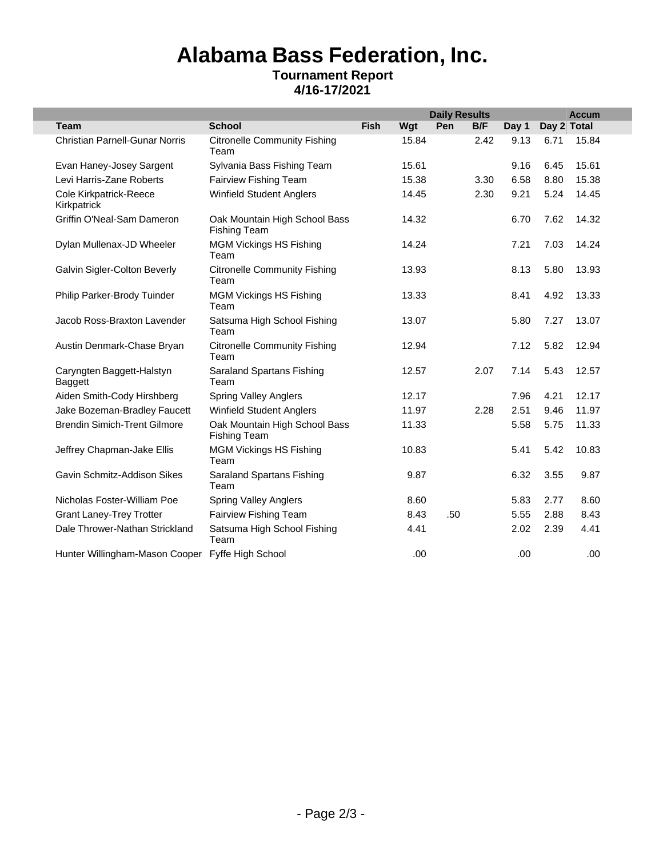## **Alabama Bass Federation, Inc. Tournament Report 4/16-17/2021**

L.

|                                       |                                                      |             |       | <b>Daily Results</b> |      |       |             | <b>Accum</b> |
|---------------------------------------|------------------------------------------------------|-------------|-------|----------------------|------|-------|-------------|--------------|
| <b>Team</b>                           | <b>School</b>                                        | <b>Fish</b> | Wgt   | Pen                  | B/F  | Day 1 | Day 2 Total |              |
| <b>Christian Parnell-Gunar Norris</b> | <b>Citronelle Community Fishing</b><br>Team          |             | 15.84 |                      | 2.42 | 9.13  | 6.71        | 15.84        |
| Evan Haney-Josey Sargent              | Sylvania Bass Fishing Team                           |             | 15.61 |                      |      | 9.16  | 6.45        | 15.61        |
| Levi Harris-Zane Roberts              | <b>Fairview Fishing Team</b>                         |             | 15.38 |                      | 3.30 | 6.58  | 8.80        | 15.38        |
| Cole Kirkpatrick-Reece<br>Kirkpatrick | <b>Winfield Student Anglers</b>                      |             | 14.45 |                      | 2.30 | 9.21  | 5.24        | 14.45        |
| Griffin O'Neal-Sam Dameron            | Oak Mountain High School Bass<br><b>Fishing Team</b> |             | 14.32 |                      |      | 6.70  | 7.62        | 14.32        |
| Dylan Mullenax-JD Wheeler             | <b>MGM Vickings HS Fishing</b><br>Team               |             | 14.24 |                      |      | 7.21  | 7.03        | 14.24        |
| Galvin Sigler-Colton Beverly          | <b>Citronelle Community Fishing</b><br>Team          |             | 13.93 |                      |      | 8.13  | 5.80        | 13.93        |
| Philip Parker-Brody Tuinder           | <b>MGM Vickings HS Fishing</b><br>Team               |             | 13.33 |                      |      | 8.41  | 4.92        | 13.33        |
| Jacob Ross-Braxton Lavender           | Satsuma High School Fishing<br>Team                  |             | 13.07 |                      |      | 5.80  | 7.27        | 13.07        |
| Austin Denmark-Chase Bryan            | <b>Citronelle Community Fishing</b><br>Team          |             | 12.94 |                      |      | 7.12  | 5.82        | 12.94        |
| Caryngten Baggett-Halstyn<br>Baggett  | <b>Saraland Spartans Fishing</b><br>Team             |             | 12.57 |                      | 2.07 | 7.14  | 5.43        | 12.57        |
| Aiden Smith-Cody Hirshberg            | <b>Spring Valley Anglers</b>                         |             | 12.17 |                      |      | 7.96  | 4.21        | 12.17        |
| Jake Bozeman-Bradley Faucett          | <b>Winfield Student Anglers</b>                      |             | 11.97 |                      | 2.28 | 2.51  | 9.46        | 11.97        |
| <b>Brendin Simich-Trent Gilmore</b>   | Oak Mountain High School Bass<br><b>Fishing Team</b> |             | 11.33 |                      |      | 5.58  | 5.75        | 11.33        |
| Jeffrey Chapman-Jake Ellis            | <b>MGM Vickings HS Fishing</b><br>Team               |             | 10.83 |                      |      | 5.41  | 5.42        | 10.83        |
| Gavin Schmitz-Addison Sikes           | Saraland Spartans Fishing<br>Team                    |             | 9.87  |                      |      | 6.32  | 3.55        | 9.87         |
| Nicholas Foster-William Poe           | <b>Spring Valley Anglers</b>                         |             | 8.60  |                      |      | 5.83  | 2.77        | 8.60         |
| <b>Grant Laney-Trey Trotter</b>       | Fairview Fishing Team                                |             | 8.43  | .50                  |      | 5.55  | 2.88        | 8.43         |
| Dale Thrower-Nathan Strickland        | Satsuma High School Fishing<br>Team                  |             | 4.41  |                      |      | 2.02  | 2.39        | 4.41         |
| Hunter Willingham-Mason Cooper        | Fyffe High School                                    |             | .00.  |                      |      | .00   |             | .00          |